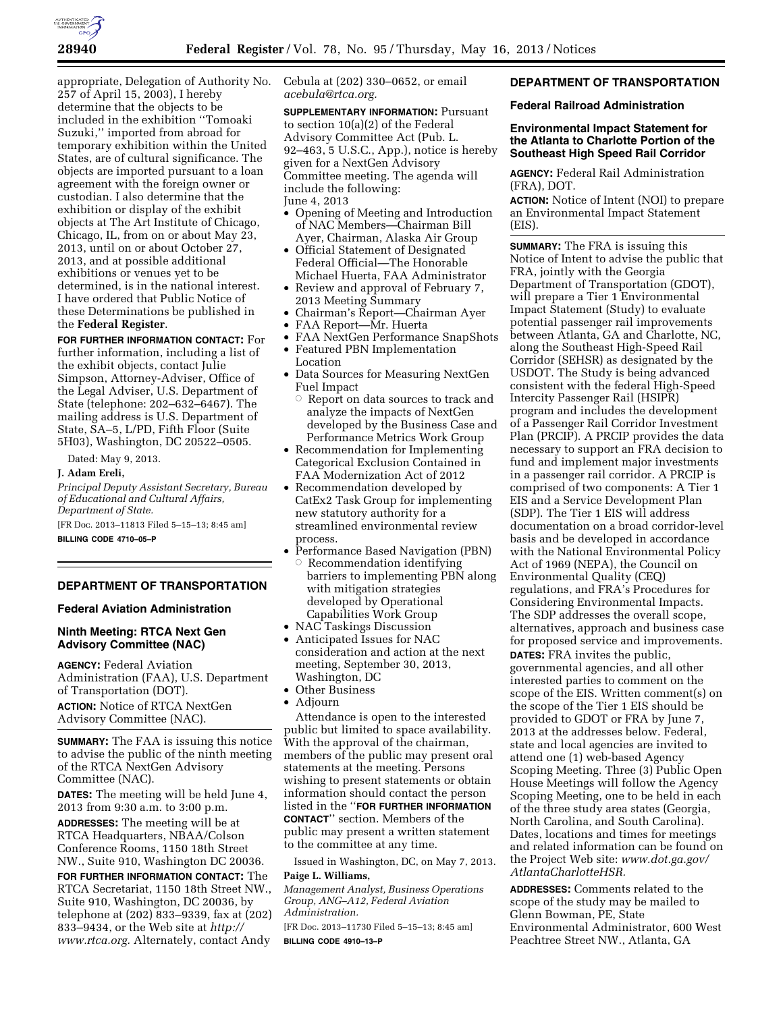

appropriate, Delegation of Authority No. 257 of April 15, 2003), I hereby determine that the objects to be included in the exhibition ''Tomoaki Suzuki,'' imported from abroad for temporary exhibition within the United States, are of cultural significance. The objects are imported pursuant to a loan agreement with the foreign owner or custodian. I also determine that the exhibition or display of the exhibit objects at The Art Institute of Chicago, Chicago, IL, from on or about May 23, 2013, until on or about October 27, 2013, and at possible additional exhibitions or venues yet to be determined, is in the national interest. I have ordered that Public Notice of these Determinations be published in the **Federal Register**.

**FOR FURTHER INFORMATION CONTACT:** For further information, including a list of the exhibit objects, contact Julie Simpson, Attorney-Adviser, Office of the Legal Adviser, U.S. Department of State (telephone: 202–632–6467). The mailing address is U.S. Department of State, SA–5, L/PD, Fifth Floor (Suite 5H03), Washington, DC 20522–0505.

Dated: May 9, 2013.

## **J. Adam Ereli,**

*Principal Deputy Assistant Secretary, Bureau of Educational and Cultural Affairs, Department of State.* 

[FR Doc. 2013–11813 Filed 5–15–13; 8:45 am] **BILLING CODE 4710–05–P** 

### **DEPARTMENT OF TRANSPORTATION**

### **Federal Aviation Administration**

# **Ninth Meeting: RTCA Next Gen Advisory Committee (NAC)**

**AGENCY:** Federal Aviation Administration (FAA), U.S. Department of Transportation (DOT). **ACTION:** Notice of RTCA NextGen Advisory Committee (NAC).

**SUMMARY:** The FAA is issuing this notice to advise the public of the ninth meeting of the RTCA NextGen Advisory Committee (NAC).

**DATES:** The meeting will be held June 4, 2013 from 9:30 a.m. to 3:00 p.m.

**ADDRESSES:** The meeting will be at RTCA Headquarters, NBAA/Colson Conference Rooms, 1150 18th Street NW., Suite 910, Washington DC 20036.

**FOR FURTHER INFORMATION CONTACT:** The RTCA Secretariat, 1150 18th Street NW., Suite 910, Washington, DC 20036, by telephone at (202) 833–9339, fax at (202) 833–9434, or the Web site at *[http://](http://www.rtca.org)  [www.rtca.org.](http://www.rtca.org)* Alternately, contact Andy

Cebula at (202) 330–0652, or email *[acebula@rtca.org.](mailto:acebula@rtca.org)* 

**SUPPLEMENTARY INFORMATION: Pursuant** to section 10(a)(2) of the Federal Advisory Committee Act (Pub. L. 92–463, 5 U.S.C., App.), notice is hereby given for a NextGen Advisory Committee meeting. The agenda will include the following: June 4, 2013

- Opening of Meeting and Introduction of NAC Members—Chairman Bill Ayer, Chairman, Alaska Air Group
- Official Statement of Designated Federal Official—The Honorable Michael Huerta, FAA Administrator
- Review and approval of February 7, 2013 Meeting Summary
- Chairman's Report—Chairman Ayer
- FAA Report—Mr. Huerta
- FAA NextGen Performance SnapShots
- Featured PBN Implementation
- Location
- Data Sources for Measuring NextGen Fuel Impact
- $\circ$  Report on data sources to track and analyze the impacts of NextGen developed by the Business Case and Performance Metrics Work Group
- Recommendation for Implementing Categorical Exclusion Contained in FAA Modernization Act of 2012
- Recommendation developed by CatEx2 Task Group for implementing new statutory authority for a streamlined environmental review process.
- Performance Based Navigation (PBN) Æ Recommendation identifying barriers to implementing PBN along with mitigation strategies developed by Operational Capabilities Work Group
- NAC Taskings Discussion
- Anticipated Issues for NAC consideration and action at the next meeting, September 30, 2013, Washington, DC
- Other Business
- Adjourn

Attendance is open to the interested public but limited to space availability. With the approval of the chairman, members of the public may present oral statements at the meeting. Persons wishing to present statements or obtain information should contact the person listed in the ''**FOR FURTHER INFORMATION CONTACT**'' section. Members of the public may present a written statement to the committee at any time.

Issued in Washington, DC, on May 7, 2013. **Paige L. Williams,** 

*Management Analyst, Business Operations Group, ANG–A12, Federal Aviation Administration.* 

[FR Doc. 2013–11730 Filed 5–15–13; 8:45 am] **BILLING CODE 4910–13–P** 

# **DEPARTMENT OF TRANSPORTATION**

**Federal Railroad Administration** 

# **Environmental Impact Statement for the Atlanta to Charlotte Portion of the Southeast High Speed Rail Corridor**

**AGENCY:** Federal Rail Administration (FRA), DOT.

**ACTION:** Notice of Intent (NOI) to prepare an Environmental Impact Statement (EIS).

**SUMMARY:** The FRA is issuing this Notice of Intent to advise the public that FRA, jointly with the Georgia Department of Transportation (GDOT), will prepare a Tier 1 Environmental Impact Statement (Study) to evaluate potential passenger rail improvements between Atlanta, GA and Charlotte, NC, along the Southeast High-Speed Rail Corridor (SEHSR) as designated by the USDOT. The Study is being advanced consistent with the federal High-Speed Intercity Passenger Rail (HSIPR) program and includes the development of a Passenger Rail Corridor Investment Plan (PRCIP). A PRCIP provides the data necessary to support an FRA decision to fund and implement major investments in a passenger rail corridor. A PRCIP is comprised of two components: A Tier 1 EIS and a Service Development Plan (SDP). The Tier 1 EIS will address documentation on a broad corridor-level basis and be developed in accordance with the National Environmental Policy Act of 1969 (NEPA), the Council on Environmental Quality (CEQ) regulations, and FRA's Procedures for Considering Environmental Impacts. The SDP addresses the overall scope, alternatives, approach and business case for proposed service and improvements. **DATES:** FRA invites the public, governmental agencies, and all other interested parties to comment on the scope of the EIS. Written comment(s) on the scope of the Tier 1 EIS should be provided to GDOT or FRA by June 7, 2013 at the addresses below. Federal, state and local agencies are invited to attend one (1) web-based Agency Scoping Meeting. Three (3) Public Open House Meetings will follow the Agency Scoping Meeting, one to be held in each of the three study area states (Georgia, North Carolina, and South Carolina). Dates, locations and times for meetings and related information can be found on the Project Web site: *[www.dot.ga.gov/](http://www.dot.ga.gov/AtlantaCharlotteHSR)  [AtlantaCharlotteHSR.](http://www.dot.ga.gov/AtlantaCharlotteHSR)* 

**ADDRESSES:** Comments related to the scope of the study may be mailed to Glenn Bowman, PE, State Environmental Administrator, 600 West Peachtree Street NW., Atlanta, GA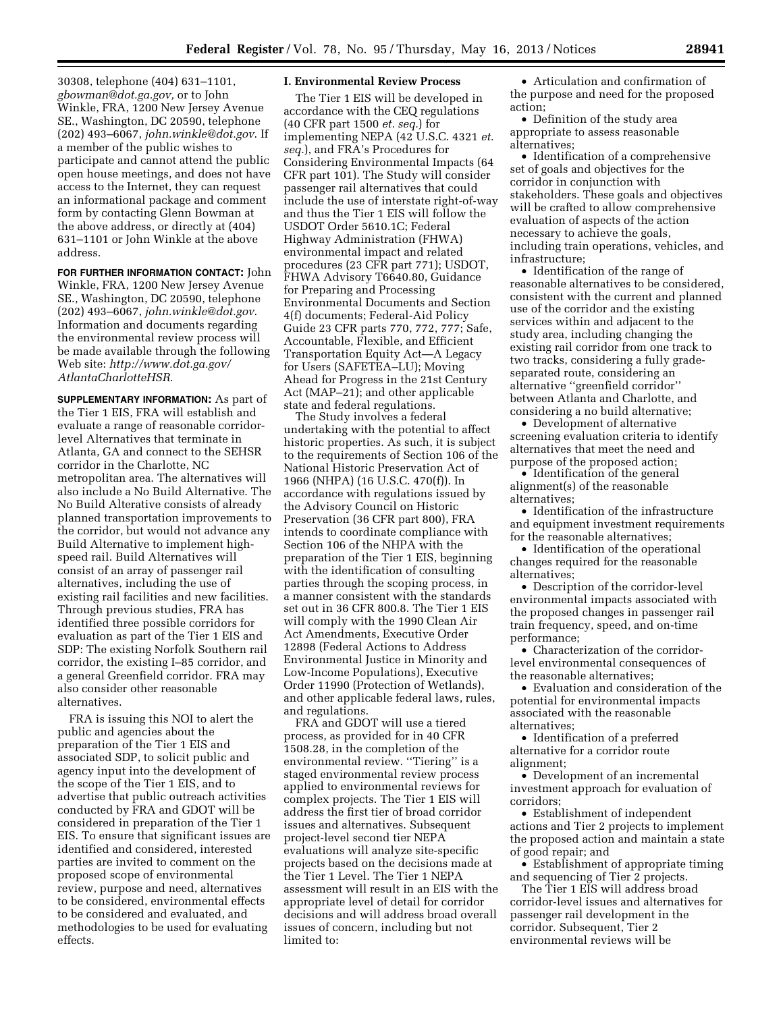30308, telephone (404) 631–1101, *[gbowman@dot.ga.gov,](mailto:gbowman@dot.ga.gov)* or to John Winkle, FRA, 1200 New Jersey Avenue SE., Washington, DC 20590, telephone (202) 493–6067, *[john.winkle@dot.gov](mailto:john.winkle@dot.gov)*. If a member of the public wishes to participate and cannot attend the public open house meetings, and does not have access to the Internet, they can request an informational package and comment form by contacting Glenn Bowman at the above address, or directly at (404) 631–1101 or John Winkle at the above address.

# **FOR FURTHER INFORMATION CONTACT:** John Winkle, FRA, 1200 New Jersey Avenue SE., Washington, DC 20590, telephone (202) 493–6067, *[john.winkle@dot.gov](mailto:john.winkle@dot.gov)*.

Information and documents regarding the environmental review process will be made available through the following Web site: *[http://www.dot.ga.gov/](http://www.dot.ga.gov/AtlantaCharlotteHSR)  [AtlantaCharlotteHSR](http://www.dot.ga.gov/AtlantaCharlotteHSR)*.

**SUPPLEMENTARY INFORMATION:** As part of the Tier 1 EIS, FRA will establish and evaluate a range of reasonable corridorlevel Alternatives that terminate in Atlanta, GA and connect to the SEHSR corridor in the Charlotte, NC metropolitan area. The alternatives will also include a No Build Alternative. The No Build Alterative consists of already planned transportation improvements to the corridor, but would not advance any Build Alternative to implement highspeed rail. Build Alternatives will consist of an array of passenger rail alternatives, including the use of existing rail facilities and new facilities. Through previous studies, FRA has identified three possible corridors for evaluation as part of the Tier 1 EIS and SDP: The existing Norfolk Southern rail corridor, the existing I–85 corridor, and a general Greenfield corridor. FRA may also consider other reasonable alternatives.

FRA is issuing this NOI to alert the public and agencies about the preparation of the Tier 1 EIS and associated SDP, to solicit public and agency input into the development of the scope of the Tier 1 EIS, and to advertise that public outreach activities conducted by FRA and GDOT will be considered in preparation of the Tier 1 EIS. To ensure that significant issues are identified and considered, interested parties are invited to comment on the proposed scope of environmental review, purpose and need, alternatives to be considered, environmental effects to be considered and evaluated, and methodologies to be used for evaluating effects.

#### **I. Environmental Review Process**

The Tier 1 EIS will be developed in accordance with the CEQ regulations (40 CFR part 1500 *et. seq.*) for implementing NEPA (42 U.S.C. 4321 *et. seq.*), and FRA's Procedures for Considering Environmental Impacts (64 CFR part 101). The Study will consider passenger rail alternatives that could include the use of interstate right-of-way and thus the Tier 1 EIS will follow the USDOT Order 5610.1C; Federal Highway Administration (FHWA) environmental impact and related procedures (23 CFR part 771); USDOT, FHWA Advisory T6640.80, Guidance for Preparing and Processing Environmental Documents and Section 4(f) documents; Federal-Aid Policy Guide 23 CFR parts 770, 772, 777; Safe, Accountable, Flexible, and Efficient Transportation Equity Act—A Legacy for Users (SAFETEA–LU); Moving Ahead for Progress in the 21st Century Act (MAP–21); and other applicable state and federal regulations.

The Study involves a federal undertaking with the potential to affect historic properties. As such, it is subject to the requirements of Section 106 of the National Historic Preservation Act of 1966 (NHPA) (16 U.S.C. 470(f)). In accordance with regulations issued by the Advisory Council on Historic Preservation (36 CFR part 800), FRA intends to coordinate compliance with Section 106 of the NHPA with the preparation of the Tier 1 EIS, beginning with the identification of consulting parties through the scoping process, in a manner consistent with the standards set out in 36 CFR 800.8. The Tier 1 EIS will comply with the 1990 Clean Air Act Amendments, Executive Order 12898 (Federal Actions to Address Environmental Justice in Minority and Low-Income Populations), Executive Order 11990 (Protection of Wetlands), and other applicable federal laws, rules, and regulations.

FRA and GDOT will use a tiered process, as provided for in 40 CFR 1508.28, in the completion of the environmental review. ''Tiering'' is a staged environmental review process applied to environmental reviews for complex projects. The Tier 1 EIS will address the first tier of broad corridor issues and alternatives. Subsequent project-level second tier NEPA evaluations will analyze site-specific projects based on the decisions made at the Tier 1 Level. The Tier 1 NEPA assessment will result in an EIS with the appropriate level of detail for corridor decisions and will address broad overall issues of concern, including but not limited to:

• Articulation and confirmation of the purpose and need for the proposed action;

• Definition of the study area appropriate to assess reasonable alternatives;

• Identification of a comprehensive set of goals and objectives for the corridor in conjunction with stakeholders. These goals and objectives will be crafted to allow comprehensive evaluation of aspects of the action necessary to achieve the goals, including train operations, vehicles, and infrastructure;

• Identification of the range of reasonable alternatives to be considered, consistent with the current and planned use of the corridor and the existing services within and adjacent to the study area, including changing the existing rail corridor from one track to two tracks, considering a fully gradeseparated route, considering an alternative ''greenfield corridor'' between Atlanta and Charlotte, and considering a no build alternative;

• Development of alternative screening evaluation criteria to identify alternatives that meet the need and purpose of the proposed action;

• Identification of the general alignment(s) of the reasonable alternatives;

• Identification of the infrastructure and equipment investment requirements for the reasonable alternatives;

• Identification of the operational changes required for the reasonable alternatives;

• Description of the corridor-level environmental impacts associated with the proposed changes in passenger rail train frequency, speed, and on-time performance;

• Characterization of the corridorlevel environmental consequences of the reasonable alternatives;

• Evaluation and consideration of the potential for environmental impacts associated with the reasonable alternatives;

• Identification of a preferred alternative for a corridor route alignment;

• Development of an incremental investment approach for evaluation of corridors;

• Establishment of independent actions and Tier 2 projects to implement the proposed action and maintain a state of good repair; and

• Establishment of appropriate timing and sequencing of Tier 2 projects.

The Tier 1 EIS will address broad corridor-level issues and alternatives for passenger rail development in the corridor. Subsequent, Tier 2 environmental reviews will be